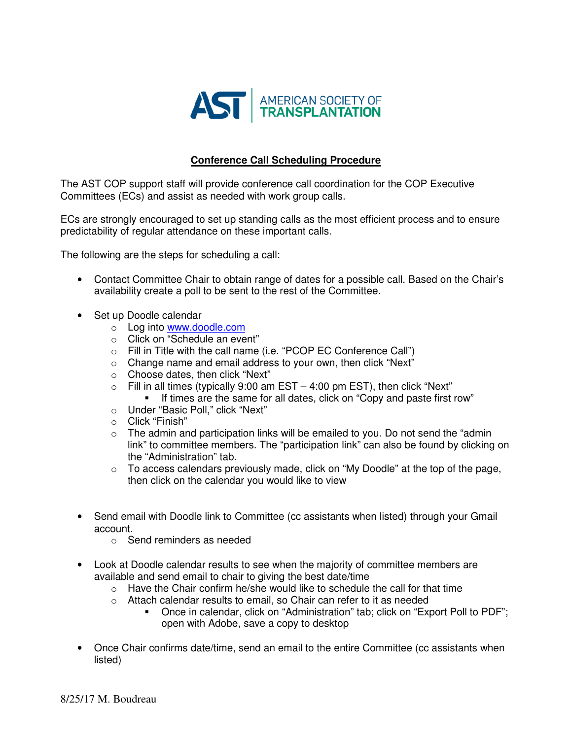

### **Conference Call Scheduling Procedure**

The AST COP support staff will provide conference call coordination for the COP Executive Committees (ECs) and assist as needed with work group calls.

ECs are strongly encouraged to set up standing calls as the most efficient process and to ensure predictability of regular attendance on these important calls.

The following are the steps for scheduling a call:

- Contact Committee Chair to obtain range of dates for a possible call. Based on the Chair's availability create a poll to be sent to the rest of the Committee.
- Set up Doodle calendar
	- o Log into www.doodle.com
	- o Click on "Schedule an event"
	- o Fill in Title with the call name (i.e. "PCOP EC Conference Call")
	- o Change name and email address to your own, then click "Next"
	- o Choose dates, then click "Next"
	- $\circ$  Fill in all times (typically 9:00 am EST 4:00 pm EST), then click "Next"
		- If times are the same for all dates, click on "Copy and paste first row"
	- o Under "Basic Poll," click "Next"
	- o Click "Finish"
	- $\circ$  The admin and participation links will be emailed to you. Do not send the "admin" link" to committee members. The "participation link" can also be found by clicking on the "Administration" tab.
	- $\circ$  To access calendars previously made, click on "My Doodle" at the top of the page, then click on the calendar you would like to view
- Send email with Doodle link to Committee (cc assistants when listed) through your Gmail account.
	- o Send reminders as needed
- Look at Doodle calendar results to see when the majority of committee members are available and send email to chair to giving the best date/time
	- $\circ$  Have the Chair confirm he/she would like to schedule the call for that time
	- o Attach calendar results to email, so Chair can refer to it as needed
		- Once in calendar, click on "Administration" tab; click on "Export Poll to PDF"; open with Adobe, save a copy to desktop
- Once Chair confirms date/time, send an email to the entire Committee (cc assistants when listed)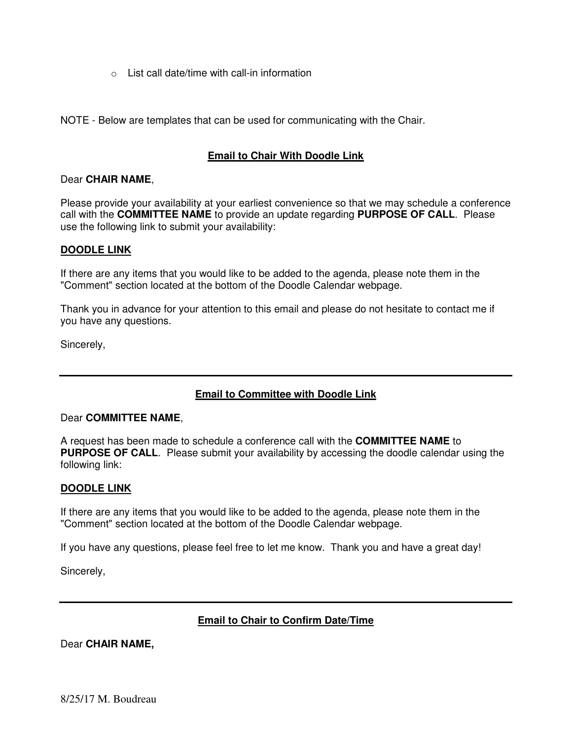$\circ$  List call date/time with call-in information

NOTE - Below are templates that can be used for communicating with the Chair.

#### **Email to Chair With Doodle Link**

#### Dear **CHAIR NAME**,

Please provide your availability at your earliest convenience so that we may schedule a conference call with the **COMMITTEE NAME** to provide an update regarding **PURPOSE OF CALL**. Please use the following link to submit your availability:

#### **DOODLE LINK**

If there are any items that you would like to be added to the agenda, please note them in the "Comment" section located at the bottom of the Doodle Calendar webpage.

Thank you in advance for your attention to this email and please do not hesitate to contact me if you have any questions.

Sincerely,

## **Email to Committee with Doodle Link**

#### Dear **COMMITTEE NAME**,

A request has been made to schedule a conference call with the **COMMITTEE NAME** to **PURPOSE OF CALL**. Please submit your availability by accessing the doodle calendar using the following link:

#### **DOODLE LINK**

If there are any items that you would like to be added to the agenda, please note them in the "Comment" section located at the bottom of the Doodle Calendar webpage.

If you have any questions, please feel free to let me know. Thank you and have a great day!

Sincerely,

## **Email to Chair to Confirm Date/Time**

Dear **CHAIR NAME,**